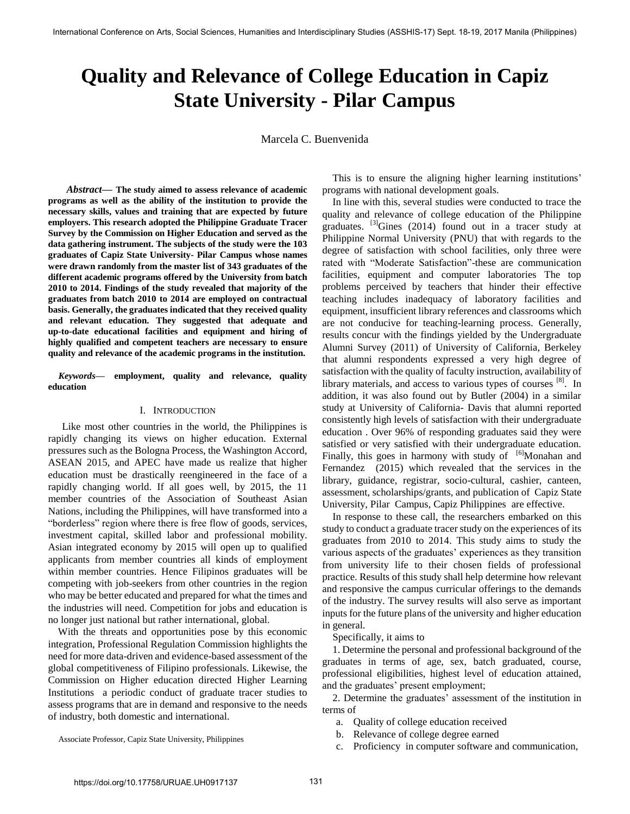# **Quality and Relevance of College Education in Capiz State University - Pilar Campus**

Marcela C. Buenvenida

 *Abstract***— The study aimed to assess relevance of academic programs as well as the ability of the institution to provide the necessary skills, values and training that are expected by future employers. This research adopted the Philippine Graduate Tracer Survey by the Commission on Higher Education and served as the data gathering instrument. The subjects of the study were the 103 graduates of Capiz State University- Pilar Campus whose names were drawn randomly from the master list of 343 graduates of the different academic programs offered by the University from batch 2010 to 2014. Findings of the study revealed that majority of the graduates from batch 2010 to 2014 are employed on contractual basis. Generally, the graduates indicated that they received quality and relevant education. They suggested that adequate and up-to-date educational facilities and equipment and hiring of highly qualified and competent teachers are necessary to ensure quality and relevance of the academic programs in the institution.** 

*Keywords***— employment, quality and relevance, quality education** 

### I. INTRODUCTION

Like most other countries in the world, the Philippines is rapidly changing its views on higher education. External pressures such as the Bologna Process, the Washington Accord, ASEAN 2015, and APEC have made us realize that higher education must be drastically reengineered in the face of a rapidly changing world. If all goes well, by 2015, the 11 member countries of the Association of Southeast Asian Nations, including the Philippines, will have transformed into a ―borderless‖ region where there is free flow of goods, services, investment capital, skilled labor and professional mobility. Asian integrated economy by 2015 will open up to qualified applicants from member countries all kinds of employment within member countries. Hence Filipinos graduates will be competing with job-seekers from other countries in the region who may be better educated and prepared for what the times and the industries will need. Competition for jobs and education is no longer just national but rather international, global.

 With the threats and opportunities pose by this economic integration, Professional Regulation Commission highlights the need for more data-driven and evidence-based assessment of the global competitiveness of Filipino professionals. Likewise, the Commission on Higher education directed Higher Learning Institutions a periodic conduct of graduate tracer studies to assess programs that are in demand and responsive to the needs of industry, both domestic and international.

Associate Professor, Capiz State University, Philippines

This is to ensure the aligning higher learning institutions' programs with national development goals.

In line with this, several studies were conducted to trace the quality and relevance of college education of the Philippine graduates.  $^{[3]}$ Gines (2014) found out in a tracer study at Philippine Normal University (PNU) that with regards to the degree of satisfaction with school facilities, only three were rated with "Moderate Satisfaction"-these are communication facilities, equipment and computer laboratories The top problems perceived by teachers that hinder their effective teaching includes inadequacy of laboratory facilities and equipment, insufficient library references and classrooms which are not conducive for teaching-learning process. Generally, results concur with the findings yielded by the Undergraduate Alumni Survey (2011) of University of California, Berkeley that alumni respondents expressed a very high degree of satisfaction with the quality of faculty instruction, availability of library materials, and access to various types of courses <sup>[8]</sup>. In addition, it was also found out by Butler (2004) in a similar study at University of California- Davis that alumni reported consistently high levels of satisfaction with their undergraduate education . Over 96% of responding graduates said they were satisfied or very satisfied with their undergraduate education. Finally, this goes in harmony with study of  $[6]$ Monahan and Fernandez (2015) which revealed that the services in the library, guidance, registrar, socio-cultural, cashier, canteen, assessment, scholarships/grants, and publication of Capiz State University, Pilar Campus, Capiz Philippines are effective.

In response to these call, the researchers embarked on this study to conduct a graduate tracer study on the experiences of its graduates from 2010 to 2014. This study aims to study the various aspects of the graduates' experiences as they transition from university life to their chosen fields of professional practice. Results of this study shall help determine how relevant and responsive the campus curricular offerings to the demands of the industry. The survey results will also serve as important inputs for the future plans of the university and higher education in general.

Specifically, it aims to

1. Determine the personal and professional background of the graduates in terms of age, sex, batch graduated, course, professional eligibilities, highest level of education attained, and the graduates' present employment;

2. Determine the graduates' assessment of the institution in terms of

- a. Quality of college education received
- b. Relevance of college degree earned
- c. Proficiency in computer software and communication,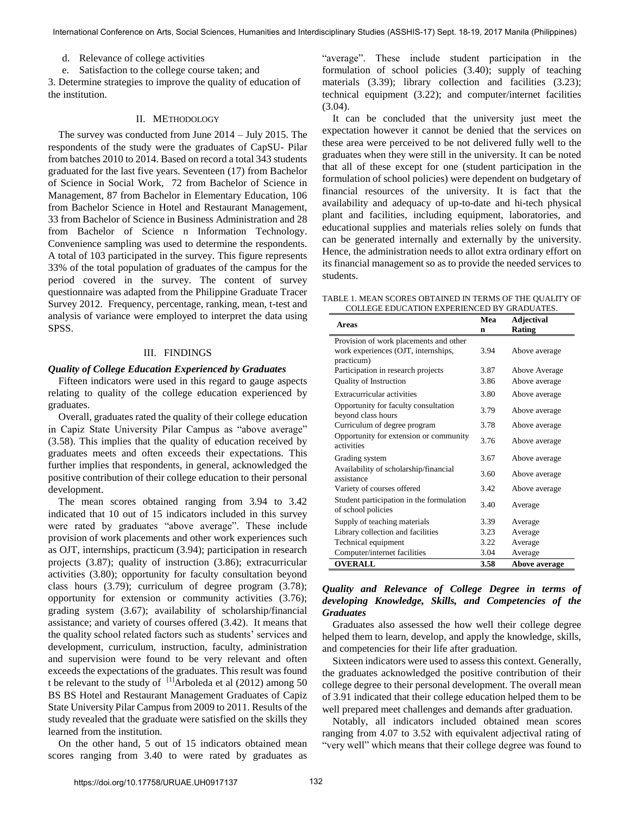d. Relevance of college activities

e. Satisfaction to the college course taken; and

3. Determine strategies to improve the quality of education of the institution.

## II. METHODOLOGY

The survey was conducted from June 2014 – July 2015. The respondents of the study were the graduates of CapSU- Pilar from batches 2010 to 2014. Based on record a total 343 students graduated for the last five years. Seventeen (17) from Bachelor of Science in Social Work, 72 from Bachelor of Science in Management, 87 from Bachelor in Elementary Education, 106 from Bachelor Science in Hotel and Restaurant Management, 33 from Bachelor of Science in Business Administration and 28 from Bachelor of Science n Information Technology. Convenience sampling was used to determine the respondents. A total of 103 participated in the survey. This figure represents 33% of the total population of graduates of the campus for the period covered in the survey. The content of survey questionnaire was adapted from the Philippine Graduate Tracer Survey 2012. Frequency, percentage, ranking, mean, t-test and analysis of variance were employed to interpret the data using SPSS.

#### III. FINDINGS

#### *Quality of College Education Experienced by Graduates*

Fifteen indicators were used in this regard to gauge aspects relating to quality of the college education experienced by graduates.

Overall, graduates rated the quality of their college education in Capiz State University Pilar Campus as "above average" (3.58). This implies that the quality of education received by graduates meets and often exceeds their expectations. This further implies that respondents, in general, acknowledged the positive contribution of their college education to their personal development.

The mean scores obtained ranging from 3.94 to 3.42 indicated that 10 out of 15 indicators included in this survey were rated by graduates "above average". These include provision of work placements and other work experiences such as OJT, internships, practicum (3.94); participation in research projects (3.87); quality of instruction (3.86); extracurricular activities (3.80); opportunity for faculty consultation beyond class hours (3.79); curriculum of degree program (3.78); opportunity for extension or community activities (3.76); grading system (3.67); availability of scholarship/financial assistance; and variety of courses offered (3.42). It means that the quality school related factors such as students' services and development, curriculum, instruction, faculty, administration and supervision were found to be very relevant and often exceeds the expectations of the graduates. This result was found t be relevant to the study of  $\frac{11}{2}$ Arboleda et al (2012) among 50 BS BS Hotel and Restaurant Management Graduates of Capiz State University Pilar Campus from 2009 to 2011. Results of the study revealed that the graduate were satisfied on the skills they learned from the institution.

On the other hand, 5 out of 15 indicators obtained mean scores ranging from 3.40 to were rated by graduates as "average". These include student participation in the formulation of school policies (3.40); supply of teaching materials (3.39); library collection and facilities (3.23); technical equipment (3.22); and computer/internet facilities (3.04).

It can be concluded that the university just meet the expectation however it cannot be denied that the services on these area were perceived to be not delivered fully well to the graduates when they were still in the university. It can be noted that all of these except for one (student participation in the formulation of school policies) were dependent on budgetary of financial resources of the university. It is fact that the availability and adequacy of up-to-date and hi-tech physical plant and facilities, including equipment, laboratories, and educational supplies and materials relies solely on funds that can be generated internally and externally by the university. Hence, the administration needs to allot extra ordinary effort on its financial management so as to provide the needed services to students.

TABLE 1. MEAN SCORES OBTAINED IN TERMS OF THE QUALITY OF COLLEGE EDUCATION EXPERIENCED BY GRADUATES.

| Areas                                                          | Mea<br>n | <b>Adjectival</b><br>Rating |
|----------------------------------------------------------------|----------|-----------------------------|
| Provision of work placements and other                         |          |                             |
| work experiences (OJT, internships,                            | 3.94     | Above average               |
| practicum)                                                     |          |                             |
| Participation in research projects                             | 3.87     | Above Average               |
| <b>Quality of Instruction</b>                                  | 3.86     | Above average               |
| Extracurricular activities                                     | 3.80     | Above average               |
| Opportunity for faculty consultation<br>beyond class hours     | 3.79     | Above average               |
| Curriculum of degree program                                   | 3.78     | Above average               |
| Opportunity for extension or community<br>activities           | 3.76     | Above average               |
| Grading system                                                 | 3.67     | Above average               |
| Availability of scholarship/financial<br>assistance            | 3.60     | Above average               |
| Variety of courses offered                                     | 3.42     | Above average               |
| Student participation in the formulation<br>of school policies | 3.40     | Average                     |
| Supply of teaching materials                                   | 3.39     | Average                     |
| Library collection and facilities                              | 3.23     | Average                     |
| Technical equipment                                            | 3.22     | Average                     |
| Computer/internet facilities                                   | 3.04     | Average                     |
| <b>OVERALL</b>                                                 | 3.58     | Above average               |

# *Quality and Relevance of College Degree in terms of developing Knowledge, Skills, and Competencies of the Graduates*

Graduates also assessed the how well their college degree helped them to learn, develop, and apply the knowledge, skills, and competencies for their life after graduation.

Sixteen indicators were used to assess this context. Generally, the graduates acknowledged the positive contribution of their college degree to their personal development. The overall mean of 3.91 indicated that their college education helped them to be well prepared meet challenges and demands after graduation.

Notably, all indicators included obtained mean scores ranging from 4.07 to 3.52 with equivalent adjectival rating of "very well" which means that their college degree was found to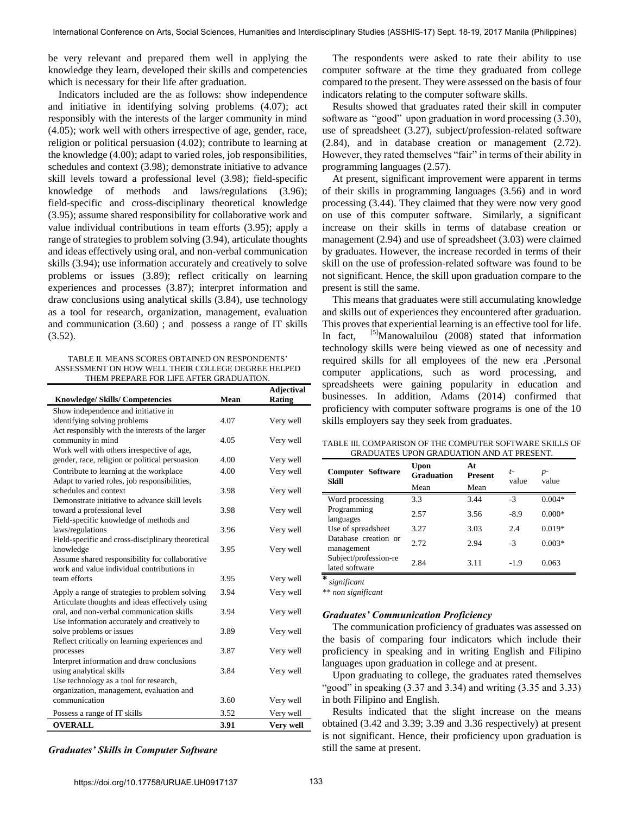be very relevant and prepared them well in applying the knowledge they learn, developed their skills and competencies which is necessary for their life after graduation.

Indicators included are the as follows: show independence and initiative in identifying solving problems (4.07); act responsibly with the interests of the larger community in mind (4.05); work well with others irrespective of age, gender, race, religion or political persuasion (4.02); contribute to learning at the knowledge (4.00); adapt to varied roles, job responsibilities, schedules and context (3.98); demonstrate initiative to advance skill levels toward a professional level (3.98); field-specific knowledge of methods and laws/regulations (3.96); field-specific and cross-disciplinary theoretical knowledge (3.95); assume shared responsibility for collaborative work and value individual contributions in team efforts (3.95); apply a range of strategies to problem solving (3.94), articulate thoughts and ideas effectively using oral, and non-verbal communication skills (3.94); use information accurately and creatively to solve problems or issues (3.89); reflect critically on learning experiences and processes (3.87); interpret information and draw conclusions using analytical skills (3.84), use technology as a tool for research, organization, management, evaluation and communication (3.60) ; and possess a range of IT skills  $(3.52)$ .

TABLE II. MEANS SCORES OBTAINED ON RESPONDENTS' ASSESSMENT ON HOW WELL THEIR COLLEGE DEGREE HELPED THEM PREPARE FOR LIFE AFTER GRADUATION.

| <b>Knowledge/Skills/Competencies</b>                                                    | Mean | <b>Adjectival</b><br>Rating |
|-----------------------------------------------------------------------------------------|------|-----------------------------|
| Show independence and initiative in                                                     |      |                             |
| identifying solving problems                                                            | 4.07 | Very well                   |
| Act responsibly with the interests of the larger                                        |      |                             |
| community in mind                                                                       | 4.05 | Very well                   |
| Work well with others irrespective of age,                                              |      |                             |
| gender, race, religion or political persuasion                                          | 4.00 | Very well                   |
| Contribute to learning at the workplace<br>Adapt to varied roles, job responsibilities, | 4.00 | Very well                   |
| schedules and context                                                                   | 3.98 | Very well                   |
| Demonstrate initiative to advance skill levels                                          |      |                             |
| toward a professional level                                                             | 3.98 | Very well                   |
| Field-specific knowledge of methods and                                                 |      |                             |
| laws/regulations                                                                        | 3.96 | Very well                   |
| Field-specific and cross-disciplinary theoretical                                       |      |                             |
| knowledge                                                                               | 3.95 | Very well                   |
| Assume shared responsibility for collaborative                                          |      |                             |
| work and value individual contributions in                                              |      |                             |
| team efforts                                                                            | 3.95 | Very well                   |
| Apply a range of strategies to problem solving                                          | 3.94 | Very well                   |
| Articulate thoughts and ideas effectively using                                         |      |                             |
| oral, and non-verbal communication skills                                               | 3.94 | Very well                   |
| Use information accurately and creatively to                                            |      |                             |
| solve problems or issues                                                                | 3.89 | Very well                   |
| Reflect critically on learning experiences and                                          |      |                             |
| processes                                                                               | 3.87 | Very well                   |
| Interpret information and draw conclusions                                              |      |                             |
| using analytical skills                                                                 | 3.84 | Very well                   |
| Use technology as a tool for research,<br>organization, management, evaluation and      |      |                             |
| communication                                                                           | 3.60 | Very well                   |
|                                                                                         |      |                             |
| Possess a range of IT skills                                                            | 3.52 | Very well                   |
| <b>OVERALL</b>                                                                          | 3.91 | Very well                   |

*Graduates' Skills in Computer Software*

The respondents were asked to rate their ability to use computer software at the time they graduated from college compared to the present. They were assessed on the basis of four indicators relating to the computer software skills.

Results showed that graduates rated their skill in computer software as "good" upon graduation in word processing (3.30), use of spreadsheet (3.27), subject/profession-related software (2.84), and in database creation or management (2.72). However, they rated themselves "fair" in terms of their ability in programming languages (2.57).

At present, significant improvement were apparent in terms of their skills in programming languages (3.56) and in word processing (3.44). They claimed that they were now very good on use of this computer software. Similarly, a significant increase on their skills in terms of database creation or management (2.94) and use of spreadsheet (3.03) were claimed by graduates. However, the increase recorded in terms of their skill on the use of profession-related software was found to be not significant. Hence, the skill upon graduation compare to the present is still the same.

 This means that graduates were still accumulating knowledge and skills out of experiences they encountered after graduation. This proves that experiential learning is an effective tool for life. In fact,  $[5]$ Manowaluilou (2008) stated that information technology skills were being viewed as one of necessity and required skills for all employees of the new era .Personal computer applications, such as word processing, and spreadsheets were gaining popularity in education and businesses. In addition, Adams (2014) confirmed that proficiency with computer software programs is one of the 10 skills employers say they seek from graduates.

TABLE III. COMPARISON OF THE COMPUTER SOFTWARE SKILLS OF GRADUATES UPON GRADUATION AND AT PRESENT.

| <b>Computer Software</b><br>Skill       | Upon<br><b>Graduation</b><br>Mean | At<br><b>Present</b><br>Mean | $t-$<br>value | $p-$<br>value |
|-----------------------------------------|-----------------------------------|------------------------------|---------------|---------------|
| Word processing                         | 3.3                               | 3.44                         | $-3$          | $0.004*$      |
| Programming<br>languages                | 2.57                              | 3.56                         | $-8.9$        | $0.000*$      |
| Use of spreadsheet                      | 3.27                              | 3.03                         | 2.4           | $0.019*$      |
| Database creation or<br>management      | 2.72                              | 2.94                         | $-3$          | $0.003*$      |
| Subject/profession-re<br>lated software | 2.84                              | 3.11                         | $-1.9$        | 0.063         |

⃰ *significant* 

*\*\* non significant* 

### *Graduates' Communication Proficiency*

The communication proficiency of graduates was assessed on the basis of comparing four indicators which include their proficiency in speaking and in writing English and Filipino languages upon graduation in college and at present.

Upon graduating to college, the graduates rated themselves "good" in speaking  $(3.37 \text{ and } 3.34)$  and writing  $(3.35 \text{ and } 3.33)$ in both Filipino and English.

Results indicated that the slight increase on the means obtained (3.42 and 3.39; 3.39 and 3.36 respectively) at present is not significant. Hence, their proficiency upon graduation is still the same at present.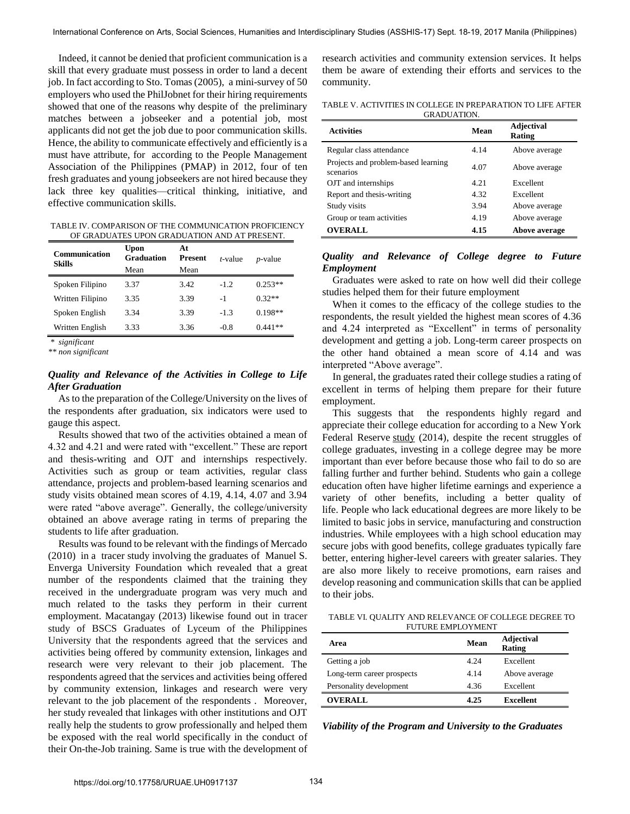Indeed, it cannot be denied that proficient communication is a skill that every graduate must possess in order to land a decent job. In fact according to Sto. Tomas (2005), a mini-survey of 50 employers who used the PhilJobnet for their hiring requirements showed that one of the reasons why despite of the preliminary matches between a jobseeker and a potential job, most applicants did not get the job due to poor communication skills. Hence, the ability to communicate effectively and efficiently is a must have attribute, for according to the People Management Association of the Philippines (PMAP) in 2012, four of ten fresh graduates and young jobseekers are not hired because they lack three key qualities—critical thinking, initiative, and effective communication skills.

TABLE IV. COMPARISON OF THE COMMUNICATION PROFICIENCY OF GRADUATES UPON GRADUATION AND AT PRESENT.

| <b>Communication</b><br>Skills | Upon<br>Graduation | At<br>Present | $t$ -value | $p$ -value |
|--------------------------------|--------------------|---------------|------------|------------|
|                                | Mean               | Mean          |            |            |
| Spoken Filipino                | 3.37               | 3.42          | $-1.2$     | $0.253**$  |
| Written Filipino               | 3.35               | 3.39          | -1         | $0.32**$   |
| Spoken English                 | 3.34               | 3.39          | $-1.3$     | $0.198**$  |
| Written English                | 3.33               | 3.36          | $-0.8$     | $0.441**$  |

*\* significant* 

*\*\* non significant* 

# *Quality and Relevance of the Activities in College to Life After Graduation*

As to the preparation of the College/University on the lives of the respondents after graduation, six indicators were used to gauge this aspect.

 Results showed that two of the activities obtained a mean of 4.32 and 4.21 and were rated with "excellent." These are report and thesis-writing and OJT and internships respectively. Activities such as group or team activities, regular class attendance, projects and problem-based learning scenarios and study visits obtained mean scores of 4.19, 4.14, 4.07 and 3.94 were rated "above average". Generally, the college/university obtained an above average rating in terms of preparing the students to life after graduation.

Results was found to be relevant with the findings of Mercado (2010) in a tracer study involving the graduates of Manuel S. Enverga University Foundation which revealed that a great number of the respondents claimed that the training they received in the undergraduate program was very much and much related to the tasks they perform in their current employment. Macatangay (2013) likewise found out in tracer study of BSCS Graduates of Lyceum of the Philippines University that the respondents agreed that the services and activities being offered by community extension, linkages and research were very relevant to their job placement. The respondents agreed that the services and activities being offered by community extension, linkages and research were very relevant to the job placement of the respondents . Moreover, her study revealed that linkages with other institutions and OJT really help the students to grow professionally and helped them be exposed with the real world specifically in the conduct of their On-the-Job training. Same is true with the development of research activities and community extension services. It helps them be aware of extending their efforts and services to the community.

TABLE V. ACTIVITIES IN COLLEGE IN PREPARATION TO LIFE AFTER GRADUATION.

| <b>Activities</b>                                | Mean | <b>Adjectival</b><br>Rating |
|--------------------------------------------------|------|-----------------------------|
| Regular class attendance                         | 4.14 | Above average               |
| Projects and problem-based learning<br>scenarios | 4.07 | Above average               |
| OJT and internships                              | 4.21 | Excellent                   |
| Report and thesis-writing                        | 4.32 | Excellent                   |
| Study visits                                     | 3.94 | Above average               |
| Group or team activities                         | 4.19 | Above average               |
| <b>OVERALL</b>                                   | 4.15 | Above average               |

# *Quality and Relevance of College degree to Future Employment*

Graduates were asked to rate on how well did their college studies helped them for their future employment

When it comes to the efficacy of the college studies to the respondents, the result yielded the highest mean scores of 4.36 and 4.24 interpreted as "Excellent" in terms of personality development and getting a job. Long-term career prospects on the other hand obtained a mean score of 4.14 and was interpreted "Above average".

In general, the graduates rated their college studies a rating of excellent in terms of helping them prepare for their future employment.

This suggests that the respondents highly regard and appreciate their college education for according to a New York Federal Reserve [study](http://www.newyorkfed.org/research/current_issues/ci20-3.html) (2014), despite the recent struggles of college graduates, investing in a college degree may be more important than ever before because those who fail to do so are falling further and further behind. Students who gain a college education often have higher lifetime earnings and experience a variety of other benefits, including a better quality of life. People who lack educational degrees are more likely to be limited to basic jobs in service, manufacturing and construction industries. While employees with a high school education may secure jobs with good benefits, college graduates typically fare better, entering higher-level careers with greater salaries. They are also more likely to receive promotions, earn raises and develop reasoning and communication skills that can be applied to their jobs.

TABLE VI. QUALITY AND RELEVANCE OF COLLEGE DEGREE TO FUTURE EMPLOYMENT

| Area                       | Mean | <b>Adjectival</b><br>Rating |
|----------------------------|------|-----------------------------|
| Getting a job              | 4.24 | Excellent                   |
| Long-term career prospects | 4.14 | Above average               |
| Personality development    | 4.36 | Excellent                   |
| <b>OVERALL</b>             | 4.25 | <b>Excellent</b>            |

*Viability of the Program and University to the Graduates*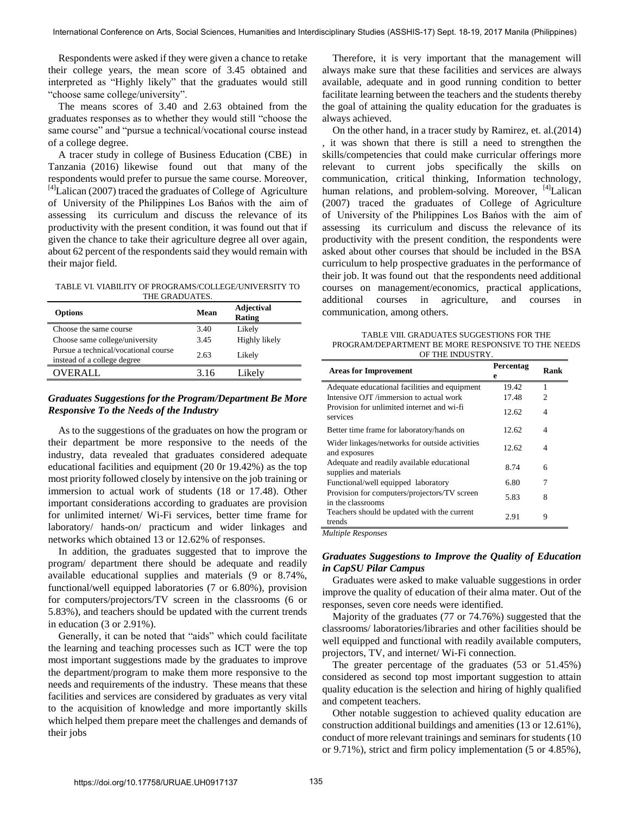Respondents were asked if they were given a chance to retake their college years, the mean score of 3.45 obtained and interpreted as "Highly likely" that the graduates would still "choose same college/university".

The means scores of 3.40 and 2.63 obtained from the graduates responses as to whether they would still "choose the same course" and "pursue a technical/vocational course instead of a college degree.

A tracer study in college of Business Education (CBE) in Tanzania (2016) likewise found out that many of the respondents would prefer to pursue the same course. Moreover,  $^{[4]}$ Lalican (2007) traced the graduates of College of Agriculture of University of the Philippines Los Bańos with the aim of assessing its curriculum and discuss the relevance of its productivity with the present condition, it was found out that if given the chance to take their agriculture degree all over again, about 62 percent of the respondents said they would remain with their major field.

TABLE VI. VIABILITY OF PROGRAMS/COLLEGE/UNIVERSITY TO THE GRADUATES.

| <b>Options</b>                                                      | Mean | <b>Adjectival</b><br>Rating |
|---------------------------------------------------------------------|------|-----------------------------|
| Choose the same course                                              | 3.40 | Likely                      |
| Choose same college/university                                      | 3.45 | Highly likely               |
| Pursue a technical/vocational course<br>instead of a college degree | 2.63 | Likely                      |
| OVER ALL.                                                           | 3.16 | Likelv                      |

# *Graduates Suggestions for the Program/Department Be More Responsive To the Needs of the Industry*

As to the suggestions of the graduates on how the program or their department be more responsive to the needs of the industry, data revealed that graduates considered adequate educational facilities and equipment (20 0r 19.42%) as the top most priority followed closely by intensive on the job training or immersion to actual work of students (18 or 17.48). Other important considerations according to graduates are provision for unlimited internet/ Wi-Fi services, better time frame for laboratory/ hands-on/ practicum and wider linkages and networks which obtained 13 or 12.62% of responses.

In addition, the graduates suggested that to improve the program/ department there should be adequate and readily available educational supplies and materials (9 or 8.74%, functional/well equipped laboratories (7 or 6.80%), provision for computers/projectors/TV screen in the classrooms (6 or 5.83%), and teachers should be updated with the current trends in education (3 or 2.91%).

Generally, it can be noted that "aids" which could facilitate the learning and teaching processes such as ICT were the top most important suggestions made by the graduates to improve the department/program to make them more responsive to the needs and requirements of the industry. These means that these facilities and services are considered by graduates as very vital to the acquisition of knowledge and more importantly skills which helped them prepare meet the challenges and demands of their jobs

Therefore, it is very important that the management will always make sure that these facilities and services are always available, adequate and in good running condition to better facilitate learning between the teachers and the students thereby the goal of attaining the quality education for the graduates is always achieved.

On the other hand, in a tracer study by Ramirez, et. al.(2014) , it was shown that there is still a need to strengthen the skills/competencies that could make curricular offerings more relevant to current jobs specifically the skills on communication, critical thinking, Information technology, human relations, and problem-solving. Moreover,  $[4]$ Lalican (2007) traced the graduates of College of Agriculture of University of the Philippines Los Bańos with the aim of assessing its curriculum and discuss the relevance of its productivity with the present condition, the respondents were asked about other courses that should be included in the BSA curriculum to help prospective graduates in the performance of their job. It was found out that the respondents need additional courses on management/economics, practical applications, additional courses in agriculture, and courses in communication, among others.

TABLE VIII. GRADUATES SUGGESTIONS FOR THE PROGRAM/DEPARTMENT BE MORE RESPONSIVE TO THE NEEDS OF THE INDUSTRY.

| <b>Areas for Improvement</b>                                         | Percentag<br>е | Rank |
|----------------------------------------------------------------------|----------------|------|
| Adequate educational facilities and equipment                        | 19.42          | 1    |
| Intensive OJT /immersion to actual work                              | 17.48          | 2    |
| Provision for unlimited internet and wi-fi<br>services               | 12.62          | 4    |
| Better time frame for laboratory/hands on                            | 12.62          | 4    |
| Wider linkages/networks for outside activities<br>and exposures      | 12.62          | 4    |
| Adequate and readily available educational<br>supplies and materials | 8.74           | 6    |
| Functional/well equipped laboratory                                  | 6.80           | 7    |
| Provision for computers/projectors/TV screen<br>in the classrooms    | 5.83           | 8    |
| Teachers should be updated with the current<br>trends                | 2.91           | 9    |

*Multiple Responses* 

# *Graduates Suggestions to Improve the Quality of Education in CapSU Pilar Campus*

Graduates were asked to make valuable suggestions in order improve the quality of education of their alma mater. Out of the responses, seven core needs were identified.

Majority of the graduates (77 or 74.76%) suggested that the classrooms/ laboratories/libraries and other facilities should be well equipped and functional with readily available computers, projectors, TV, and internet/ Wi-Fi connection.

The greater percentage of the graduates (53 or 51.45%) considered as second top most important suggestion to attain quality education is the selection and hiring of highly qualified and competent teachers.

Other notable suggestion to achieved quality education are construction additional buildings and amenities (13 or 12.61%), conduct of more relevant trainings and seminars for students (10 or 9.71%), strict and firm policy implementation (5 or 4.85%),